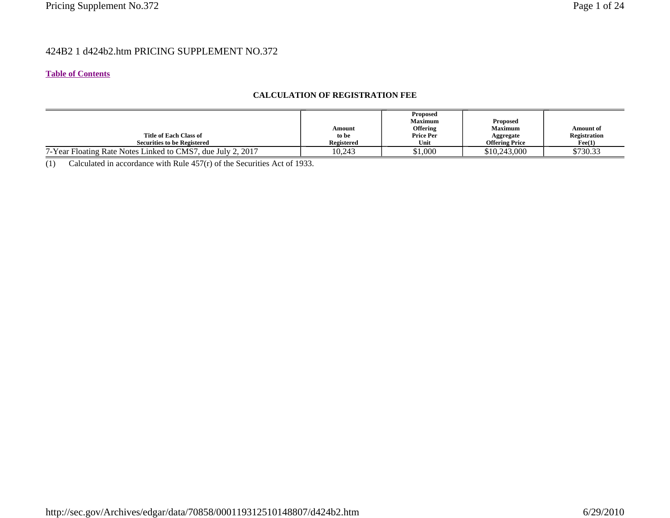# 424B2 1 d424b2.htm PRICING SUPPLEMENT NO.372

### **Table of Contents**

### **CALCULATION OF REGISTRATION FEE**

|                                                             |                   | Proposed<br><b>Maximum</b> | <b>Proposed</b>       |                 |
|-------------------------------------------------------------|-------------------|----------------------------|-----------------------|-----------------|
|                                                             | Amount            | Offering                   | <b>Maximum</b>        | Amount of       |
| <b>Title of Each Class of</b>                               | to be             | <b>Price Per</b>           | Aggregate             | Registration    |
| <b>Securities to be Registered</b>                          | <b>Registered</b> | Unit                       | <b>Offering Price</b> | $\text{Fee}(1)$ |
| 7-Year Floating Rate Notes Linked to CMS7, due July 2, 2017 | 10,243            | \$1,000                    | \$10,243,000          | \$730.33        |

(1) Calculated in accordance with Rule  $457(r)$  of the Securities Act of 1933.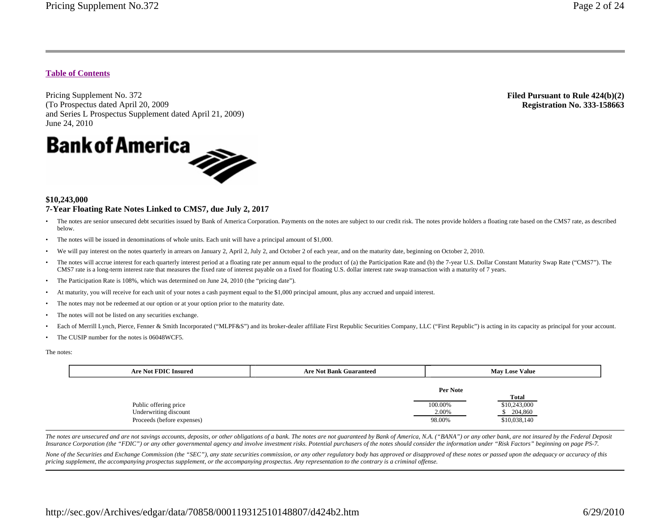Pricing Supplement No. 372 (To Prospectus dated April 20, 2009 and Series L Prospectus Supplement dated April 21, 2009)

 $J$ <sub>Une 24, 2010</sub><br>**Bank of America** 

#### **\$10,243,000**

#### **7-Year Floating Rate Notes Linked to CMS7, due July 2, 2017**

- The notes are senior unsecured debt securities issued by Bank of America Corporation. Payments on the notes are subject to our credit risk. The notes provide holders a floating rate based on the CMS7 rate, as described below.
- •The notes will be issued in denominations of whole units. Each unit will have a principal amount of \$1,000.
- •We will pay interest on the notes quarterly in arrears on January 2, April 2, July 2, and October 2 of each year, and on the maturity date, beginning on October 2, 2010.
- •The notes will accrue interest for each quarterly interest period at a floating rate per annum equal to the product of (a) the Participation Rate and (b) the 7-year U.S. Dollar Constant Maturity Swap Rate ("CMS7"). The CMS7 rate is a long-term interest rate that measures the fixed rate of interest payable on a fixed for floating U.S. dollar interest rate swap transaction with a maturity of 7 years.
- •The Participation Rate is 108%, which was determined on June 24, 2010 (the "pricing date").
- •At maturity, you will receive for each unit of your notes a cash payment equal to the \$1,000 principal amount, plus any accrued and unpaid interest.
- •The notes may not be redeemed at our option or at your option prior to the maturity date.
- •The notes will not be listed on any securities exchange.
- •Each of Merrill Lynch, Pierce, Fenner & Smith Incorporated ("MLPF&S") and its broker-dealer affiliate First Republic Securities Company, LLC ("First Republic") is acting in its capacity as principal for your account.
- •The CUSIP number for the notes is 06048WCF5.

#### The notes:

| <b>Are Not FDIC Insured</b> | <b>Are Not Bank Guaranteed</b> | <b>May Lose Value</b> |              |  |
|-----------------------------|--------------------------------|-----------------------|--------------|--|
|                             | Per Note                       |                       |              |  |
|                             |                                |                       | <b>Total</b> |  |
| Public offering price       |                                | 100.00%               | \$10,243,000 |  |
| Underwriting discount       |                                | 2.00%                 | \$ 204,860   |  |
| Proceeds (before expenses)  |                                | 98.00%                | \$10,038,140 |  |

The notes are unsecured and are not savings accounts, deposits, or other obligations of a bank. The notes are not guaranteed by Bank of America, N.A. ("BANA") or any other bank, are not insured by the Federal Deposit *Insurance Corporation (the "FDIC") or any other governmental agency and involve investment risks. Potential purchasers of the notes should consider the information under "Risk Factors" beginning on page PS-7.* 

*None of the Securities and Exchange Commission (the "SEC"), any state securities commission, or any other regulatory body has approved or disapproved of these notes or passed upon the adequacy or accuracy of this pricing supplement, the accompanying prospectus supplement, or the accompanying prospectus. Any representation to the contrary is a criminal offense.* 

**Filed Pursuant to Rule 424(b)(2) Registration No. 333-158663**

# http://sec.gov/Archives/edgar/data/70858/000119312510148807/d424b2.htm 6/29/2010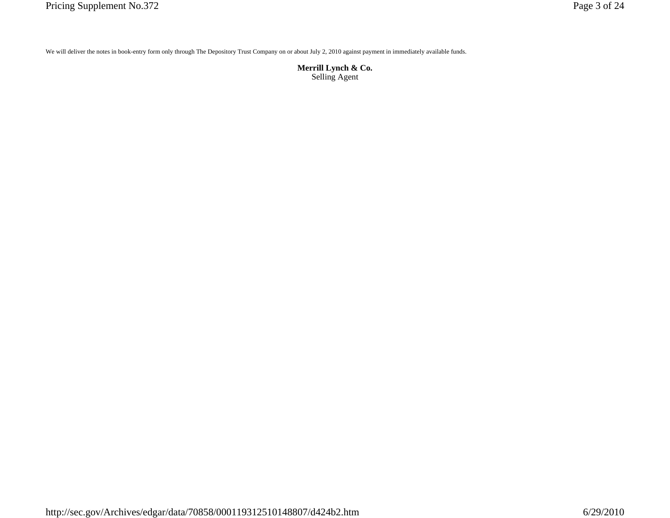We will deliver the notes in book-entry form only through The Depository Trust Company on or about July 2, 2010 against payment in immediately available funds.

**Merrill Lynch & Co.**  Selling Agent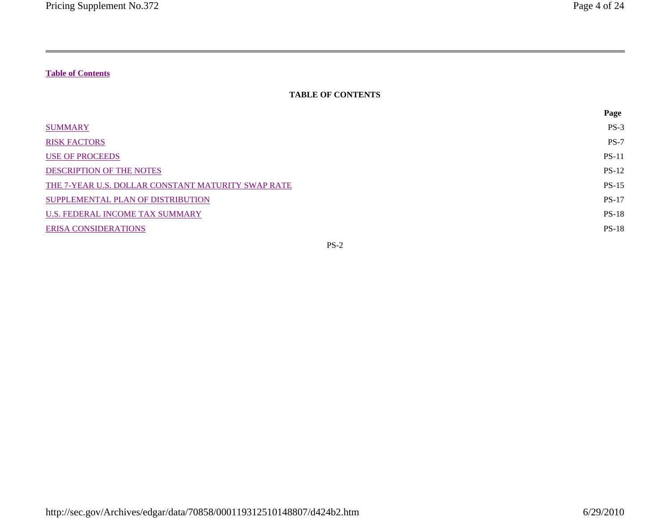#### **TABLE OF CONTENTS**

|                                                    | Page    |
|----------------------------------------------------|---------|
| <b>SUMMARY</b>                                     | $PS-3$  |
| <b>RISK FACTORS</b>                                | $PS-7$  |
| USE OF PROCEEDS                                    | $PS-11$ |
| <b>DESCRIPTION OF THE NOTES</b>                    | $PS-12$ |
| THE 7-YEAR U.S. DOLLAR CONSTANT MATURITY SWAP RATE | $PS-15$ |
| SUPPLEMENTAL PLAN OF DISTRIBUTION                  | $PS-17$ |
| U.S. FEDERAL INCOME TAX SUMMARY                    | $PS-18$ |
| <b>ERISA CONSIDERATIONS</b>                        | $PS-18$ |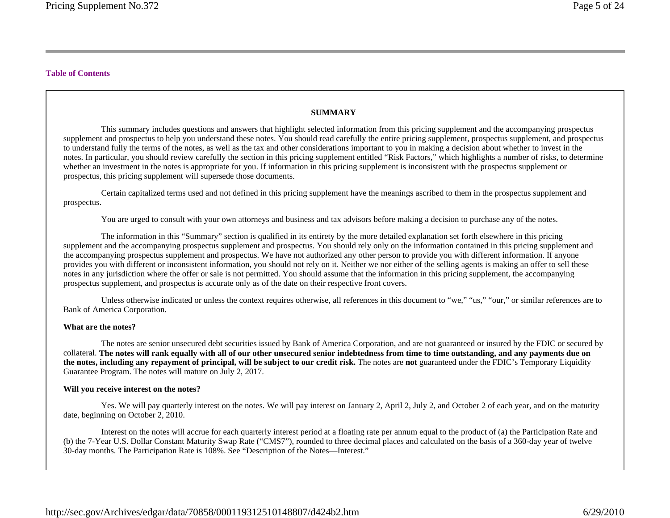### **SUMMARY**

This summary includes questions and answers that highlight selected information from this pricing supplement and the accompanying prospectus supplement and prospectus to help you understand these notes. You should read carefully the entire pricing supplement, prospectus supplement, and prospectus to understand fully the terms of the notes, as well as the tax and other considerations important to you in making a decision about whether to invest in the notes. In particular, you should review carefully the section in this pricing supplement entitled "Risk Factors," which highlights a number of risks, to determine whether an investment in the notes is appropriate for you. If information in this pricing supplement is inconsistent with the prospectus supplement or prospectus, this pricing supplement will supersede those documents.

Certain capitalized terms used and not defined in this pricing supplement have the meanings ascribed to them in the prospectus supplement and prospectus.

You are urged to consult with your own attorneys and business and tax advisors before making a decision to purchase any of the notes.

The information in this "Summary" section is qualified in its entirety by the more detailed explanation set forth elsewhere in this pricing supplement and the accompanying prospectus supplement and prospectus. You should rely only on the information contained in this pricing supplement and the accompanying prospectus supplement and prospectus. We have not authorized any other person to provide you with different information. If anyone provides you with different or inconsistent information, you should not rely on it. Neither we nor either of the selling agents is making an offer to sell these notes in any jurisdiction where the offer or sale is not permitted. You should assume that the information in this pricing supplement, the accompanying prospectus supplement, and prospectus is accurate only as of the date on their respective front covers.

Unless otherwise indicated or unless the context requires otherwise, all references in this document to "we," "us," "our," or similar references are to Bank of America Corporation.

### **What are the notes?**

The notes are senior unsecured debt securities issued by Bank of America Corporation, and are not guaranteed or insured by the FDIC or secured by collateral. **The notes will rank equally with all of our other unsecured senior indebtedness from time to time outstanding, and any payments due on the notes, including any repayment of principal, will be subject to our credit risk.** The notes are **not** guaranteed under the FDIC's Temporary Liquidity Guarantee Program. The notes will mature on July 2, 2017.

#### **Will you receive interest on the notes?**

Yes. We will pay quarterly interest on the notes. We will pay interest on January 2, April 2, July 2, and October 2 of each year, and on the maturity date, beginning on October 2, 2010.

Interest on the notes will accrue for each quarterly interest period at a floating rate per annum equal to the product of (a) the Participation Rate and (b) the 7-Year U.S. Dollar Constant Maturity Swap Rate ("CMS7"), rounded to three decimal places and calculated on the basis of a 360-day year of twelve 30-day months. The Participation Rate is 108%. See "Description of the Notes—Interest."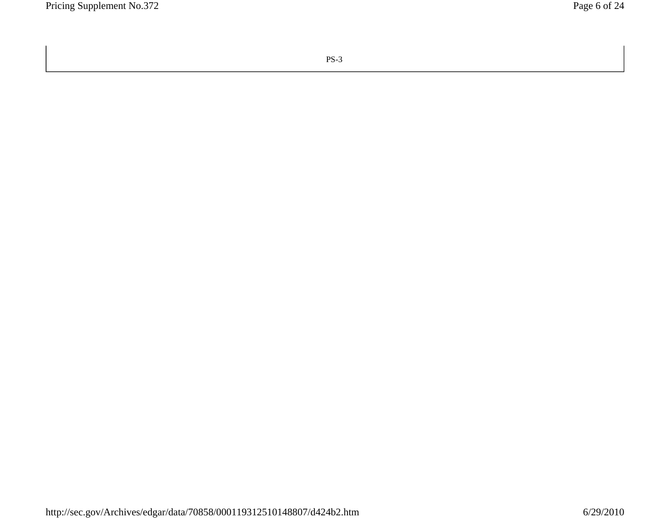Pricing Supplement No.372 Page 6 of 24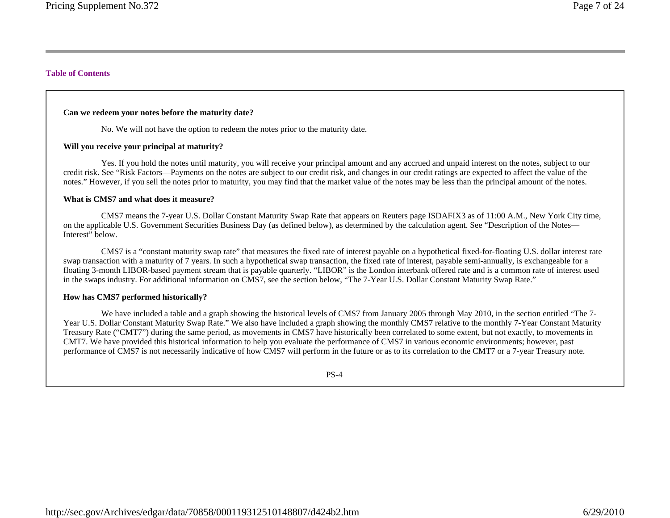#### **Can we redeem your notes before the maturity date?**

No. We will not have the option to redeem the notes prior to the maturity date.

#### **Will you receive your principal at maturity?**

Yes. If you hold the notes until maturity, you will receive your principal amount and any accrued and unpaid interest on the notes, subject to our credit risk. See "Risk Factors—Payments on the notes are subject to our credit risk, and changes in our credit ratings are expected to affect the value of the notes." However, if you sell the notes prior to maturity, you may find that the market value of the notes may be less than the principal amount of the notes.

#### **What is CMS7 and what does it measure?**

CMS7 means the 7-year U.S. Dollar Constant Maturity Swap Rate that appears on Reuters page ISDAFIX3 as of 11:00 A.M., New York City time, on the applicable U.S. Government Securities Business Day (as defined below), as determined by the calculation agent. See "Description of the Notes— Interest" below.

CMS7 is a "constant maturity swap rate" that measures the fixed rate of interest payable on a hypothetical fixed-for-floating U.S. dollar interest rate swap transaction with a maturity of 7 years. In such a hypothetical swap transaction, the fixed rate of interest, payable semi-annually, is exchangeable for a floating 3-month LIBOR-based payment stream that is payable quarterly. "LIBOR" is the London interbank offered rate and is a common rate of interest used in the swaps industry. For additional information on CMS7, see the section below, "The 7-Year U.S. Dollar Constant Maturity Swap Rate."

### **How has CMS7 performed historically?**

We have included a table and a graph showing the historical levels of CMS7 from January 2005 through May 2010, in the section entitled "The 7- Year U.S. Dollar Constant Maturity Swap Rate." We also have included a graph showing the monthly CMS7 relative to the monthly 7-Year Constant Maturity Treasury Rate ("CMT7") during the same period, as movements in CMS7 have historically been correlated to some extent, but not exactly, to movements in CMT7. We have provided this historical information to help you evaluate the performance of CMS7 in various economic environments; however, past performance of CMS7 is not necessarily indicative of how CMS7 will perform in the future or as to its correlation to the CMT7 or a 7-year Treasury note.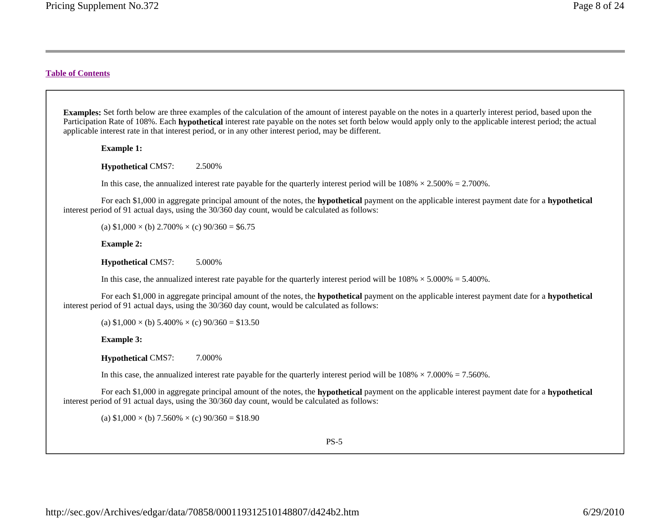**Examples:** Set forth below are three examples of the calculation of the amount of interest payable on the notes in a quarterly interest period, based upon the Participation Rate of 108%. Each **hypothetical** interest rate payable on the notes set forth below would apply only to the applicable interest period; the actual applicable interest rate in that interest period, or in any other interest period, may be different.

**Example 1:** 

**Hypothetical CMS7:** 2.500%

In this case, the annualized interest rate payable for the quarterly interest period will be  $108\% \times 2.500\% = 2.700\%$ .

For each \$1,000 in aggregate principal amount of the notes, the **hypothetical** payment on the applicable interest payment date for a **hypothetical** interest period of 91 actual days, using the 30/360 day count, would be calculated as follows:

(a)  $$1,000 \times$  (b) 2.700%  $\times$  (c) 90/360 = \$6.75

**Example 2:** 

**Hypothetical CMS7:** 5.000%

In this case, the annualized interest rate payable for the quarterly interest period will be  $108\% \times 5.000\% = 5.400\%$ .

For each \$1,000 in aggregate principal amount of the notes, the **hypothetical** payment on the applicable interest payment date for a **hypothetical** interest period of 91 actual days, using the 30/360 day count, would be calculated as follows:

(a)  $$1,000 \times$  (b)  $5.400\% \times$  (c)  $90/360 = $13.50$ 

**Example 3:** 

**Hypothetical CMS7:** 7.000%

In this case, the annualized interest rate payable for the quarterly interest period will be  $108\% \times 7.000\% = 7.560\%$ .

For each \$1,000 in aggregate principal amount of the notes, the **hypothetical** payment on the applicable interest payment date for a **hypothetical** interest period of 91 actual days, using the 30/360 day count, would be calculated as follows:

(a)  $$1,000 \times$  (b)  $7.560\% \times$  (c)  $90/360 = $18.90$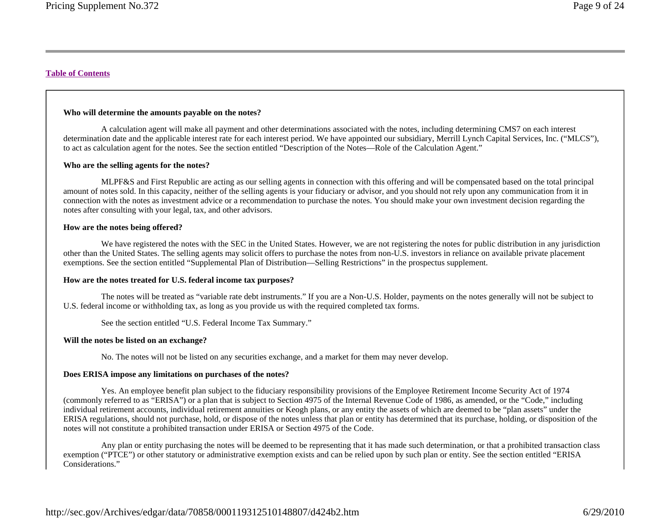#### **Who will determine the amounts payable on the notes?**

A calculation agent will make all payment and other determinations associated with the notes, including determining CMS7 on each interest determination date and the applicable interest rate for each interest period. We have appointed our subsidiary, Merrill Lynch Capital Services, Inc. ("MLCS"), to act as calculation agent for the notes. See the section entitled "Description of the Notes—Role of the Calculation Agent."

#### **Who are the selling agents for the notes?**

MLPF&S and First Republic are acting as our selling agents in connection with this offering and will be compensated based on the total principal amount of notes sold. In this capacity, neither of the selling agents is your fiduciary or advisor, and you should not rely upon any communication from it in connection with the notes as investment advice or a recommendation to purchase the notes. You should make your own investment decision regarding the notes after consulting with your legal, tax, and other advisors.

#### **How are the notes being offered?**

We have registered the notes with the SEC in the United States. However, we are not registering the notes for public distribution in any jurisdiction other than the United States. The selling agents may solicit offers to purchase the notes from non-U.S. investors in reliance on available private placement exemptions. See the section entitled "Supplemental Plan of Distribution—Selling Restrictions" in the prospectus supplement.

### **How are the notes treated for U.S. federal income tax purposes?**

The notes will be treated as "variable rate debt instruments." If you are a Non-U.S. Holder, payments on the notes generally will not be subject to U.S. federal income or withholding tax, as long as you provide us with the required completed tax forms.

See the section entitled "U.S. Federal Income Tax Summary."

### **Will the notes be listed on an exchange?**

No. The notes will not be listed on any securities exchange, and a market for them may never develop.

### **Does ERISA impose any limitations on purchases of the notes?**

Yes. An employee benefit plan subject to the fiduciary responsibility provisions of the Employee Retirement Income Security Act of 1974 (commonly referred to as "ERISA") or a plan that is subject to Section 4975 of the Internal Revenue Code of 1986, as amended, or the "Code," including individual retirement accounts, individual retirement annuities or Keogh plans, or any entity the assets of which are deemed to be "plan assets" under the ERISA regulations, should not purchase, hold, or dispose of the notes unless that plan or entity has determined that its purchase, holding, or disposition of the notes will not constitute a prohibited transaction under ERISA or Section 4975 of the Code.

Any plan or entity purchasing the notes will be deemed to be representing that it has made such determination, or that a prohibited transaction class exemption ("PTCE") or other statutory or administrative exemption exists and can be relied upon by such plan or entity. See the section entitled "ERISA Considerations."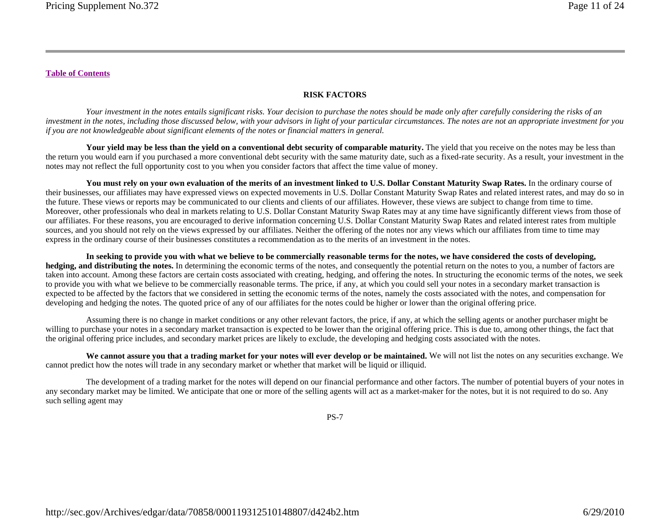### **RISK FACTORS**

*Your investment in the notes entails significant risks. Your decision to purchase the notes should be made only after carefully considering the risks of an investment in the notes, including those discussed below, with your advisors in light of your particular circumstances. The notes are not an appropriate investment for you if you are not knowledgeable about significant elements of the notes or financial matters in general.* 

Your yield may be less than the yield on a conventional debt security of comparable maturity. The yield that you receive on the notes may be less than the return you would earn if you purchased a more conventional debt security with the same maturity date, such as a fixed-rate security. As a result, your investment in the notes may not reflect the full opportunity cost to you when you consider factors that affect the time value of money.

**You must rely on your own evaluation of the merits of an investment linked to U.S. Dollar Constant Maturity Swap Rates.** In the ordinary course of their businesses, our affiliates may have expressed views on expected movements in U.S. Dollar Constant Maturity Swap Rates and related interest rates, and may do so in the future. These views or reports may be communicated to our clients and clients of our affiliates. However, these views are subject to change from time to time. Moreover, other professionals who deal in markets relating to U.S. Dollar Constant Maturity Swap Rates may at any time have significantly different views from those of our affiliates. For these reasons, you are encouraged to derive information concerning U.S. Dollar Constant Maturity Swap Rates and related interest rates from multiple sources, and you should not rely on the views expressed by our affiliates. Neither the offering of the notes nor any views which our affiliates from time to time may express in the ordinary course of their businesses constitutes a recommendation as to the merits of an investment in the notes.

**In seeking to provide you with what we believe to be commercially reasonable terms for the notes, we have considered the costs of developing,**  hedging, and distributing the notes. In determining the economic terms of the notes, and consequently the potential return on the notes to you, a number of factors are taken into account. Among these factors are certain costs associated with creating, hedging, and offering the notes. In structuring the economic terms of the notes, we seek to provide you with what we believe to be commercially reasonable terms. The price, if any, at which you could sell your notes in a secondary market transaction is expected to be affected by the factors that we considered in setting the economic terms of the notes, namely the costs associated with the notes, and compensation for developing and hedging the notes. The quoted price of any of our affiliates for the notes could be higher or lower than the original offering price.

Assuming there is no change in market conditions or any other relevant factors, the price, if any, at which the selling agents or another purchaser might be willing to purchase your notes in a secondary market transaction is expected to be lower than the original offering price. This is due to, among other things, the fact that the original offering price includes, and secondary market prices are likely to exclude, the developing and hedging costs associated with the notes.

**We cannot assure you that a trading market for your notes will ever develop or be maintained.** We will not list the notes on any securities exchange. We cannot predict how the notes will trade in any secondary market or whether that market will be liquid or illiquid.

The development of a trading market for the notes will depend on our financial performance and other factors. The number of potential buyers of your notes in any secondary market may be limited. We anticipate that one or more of the selling agents will act as a market-maker for the notes, but it is not required to do so. Any such selling agent may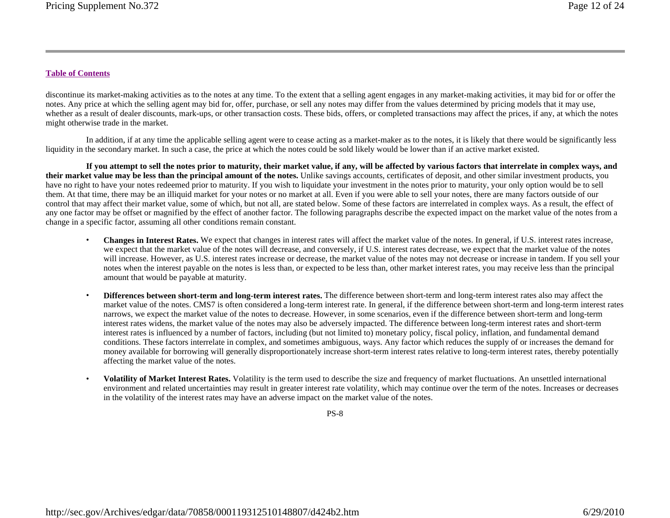discontinue its market-making activities as to the notes at any time. To the extent that a selling agent engages in any market-making activities, it may bid for or offer the notes. Any price at which the selling agent may bid for, offer, purchase, or sell any notes may differ from the values determined by pricing models that it may use, whether as a result of dealer discounts, mark-ups, or other transaction costs. These bids, offers, or completed transactions may affect the prices, if any, at which the notes might otherwise trade in the market.

In addition, if at any time the applicable selling agent were to cease acting as a market-maker as to the notes, it is likely that there would be significantly less liquidity in the secondary market. In such a case, the price at which the notes could be sold likely would be lower than if an active market existed.

**If you attempt to sell the notes prior to maturity, their market value, if any, will be affected by various factors that interrelate in complex ways, and their market value may be less than the principal amount of the notes.** Unlike savings accounts, certificates of deposit, and other similar investment products, you have no right to have your notes redeemed prior to maturity. If you wish to liquidate your investment in the notes prior to maturity, your only option would be to sell them. At that time, there may be an illiquid market for your notes or no market at all. Even if you were able to sell your notes, there are many factors outside of our control that may affect their market value, some of which, but not all, are stated below. Some of these factors are interrelated in complex ways. As a result, the effect of any one factor may be offset or magnified by the effect of another factor. The following paragraphs describe the expected impact on the market value of the notes from a change in a specific factor, assuming all other conditions remain constant.

- • **Changes in Interest Rates.** We expect that changes in interest rates will affect the market value of the notes. In general, if U.S. interest rates increase, we expect that the market value of the notes will decrease, and conversely, if U.S. interest rates decrease, we expect that the market value of the notes will increase. However, as U.S. interest rates increase or decrease, the market value of the notes may not decrease or increase in tandem. If you sell your notes when the interest payable on the notes is less than, or expected to be less than, other market interest rates, you may receive less than the principal amount that would be payable at maturity.
- • **Differences between short-term and long-term interest rates.** The difference between short-term and long-term interest rates also may affect the market value of the notes. CMS7 is often considered a long-term interest rate. In general, if the difference between short-term and long-term interest rates narrows, we expect the market value of the notes to decrease. However, in some scenarios, even if the difference between short-term and long-term interest rates widens, the market value of the notes may also be adversely impacted. The difference between long-term interest rates and short-term interest rates is influenced by a number of factors, including (but not limited to) monetary policy, fiscal policy, inflation, and fundamental demand conditions. These factors interrelate in complex, and sometimes ambiguous, ways. Any factor which reduces the supply of or increases the demand for money available for borrowing will generally disproportionately increase short-term interest rates relative to long-term interest rates, thereby potentially affecting the market value of the notes.
- • **Volatility of Market Interest Rates.** Volatility is the term used to describe the size and frequency of market fluctuations. An unsettled international environment and related uncertainties may result in greater interest rate volatility, which may continue over the term of the notes. Increases or decreases in the volatility of the interest rates may have an adverse impact on the market value of the notes.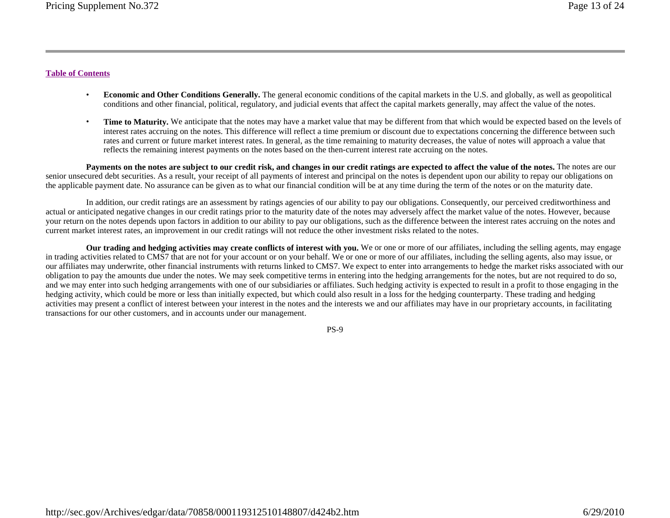- • **Economic and Other Conditions Generally.** The general economic conditions of the capital markets in the U.S. and globally, as well as geopolitical conditions and other financial, political, regulatory, and judicial events that affect the capital markets generally, may affect the value of the notes.
- •**Time to Maturity.** We anticipate that the notes may have a market value that may be different from that which would be expected based on the levels of interest rates accruing on the notes. This difference will reflect a time premium or discount due to expectations concerning the difference between such rates and current or future market interest rates. In general, as the time remaining to maturity decreases, the value of notes will approach a value that reflects the remaining interest payments on the notes based on the then-current interest rate accruing on the notes.

**Payments on the notes are subject to our credit risk, and changes in our credit ratings are expected to affect the value of the notes.** The notes are our senior unsecured debt securities. As a result, your receipt of all payments of interest and principal on the notes is dependent upon our ability to repay our obligations on the applicable payment date. No assurance can be given as to what our financial condition will be at any time during the term of the notes or on the maturity date.

In addition, our credit ratings are an assessment by ratings agencies of our ability to pay our obligations. Consequently, our perceived creditworthiness and actual or anticipated negative changes in our credit ratings prior to the maturity date of the notes may adversely affect the market value of the notes. However, because your return on the notes depends upon factors in addition to our ability to pay our obligations, such as the difference between the interest rates accruing on the notes and current market interest rates, an improvement in our credit ratings will not reduce the other investment risks related to the notes.

**Our trading and hedging activities may create conflicts of interest with you.** We or one or more of our affiliates, including the selling agents, may engage in trading activities related to CMS7 that are not for your account or on your behalf. We or one or more of our affiliates, including the selling agents, also may issue, or our affiliates may underwrite, other financial instruments with returns linked to CMS7. We expect to enter into arrangements to hedge the market risks associated with our obligation to pay the amounts due under the notes. We may seek competitive terms in entering into the hedging arrangements for the notes, but are not required to do so, and we may enter into such hedging arrangements with one of our subsidiaries or affiliates. Such hedging activity is expected to result in a profit to those engaging in the hedging activity, which could be more or less than initially expected, but which could also result in a loss for the hedging counterparty. These trading and hedging activities may present a conflict of interest between your interest in the notes and the interests we and our affiliates may have in our proprietary accounts, in facilitating transactions for our other customers, and in accounts under our management.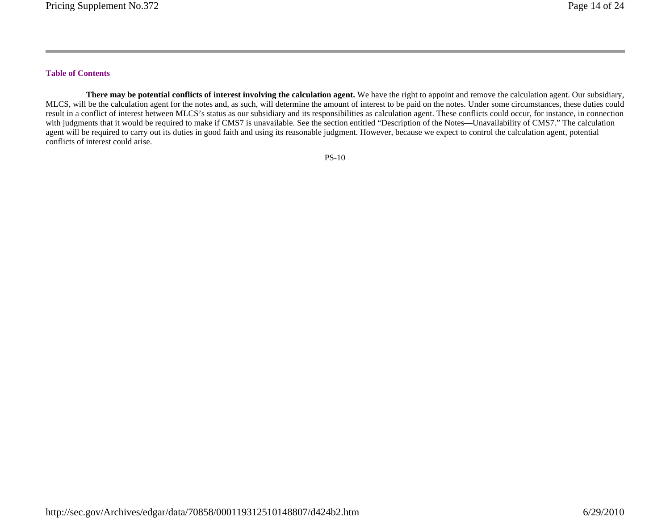**There may be potential conflicts of interest involving the calculation agent.** We have the right to appoint and remove the calculation agent. Our subsidiary, MLCS, will be the calculation agent for the notes and, as such, will determine the amount of interest to be paid on the notes. Under some circumstances, these duties could result in a conflict of interest between MLCS's status as our subsidiary and its responsibilities as calculation agent. These conflicts could occur, for instance, in connection with judgments that it would be required to make if CMS7 is unavailable. See the section entitled "Description of the Notes—Unavailability of CMS7." The calculation agent will be required to carry out its duties in good faith and using its reasonable judgment. However, because we expect to control the calculation agent, potential conflicts of interest could arise.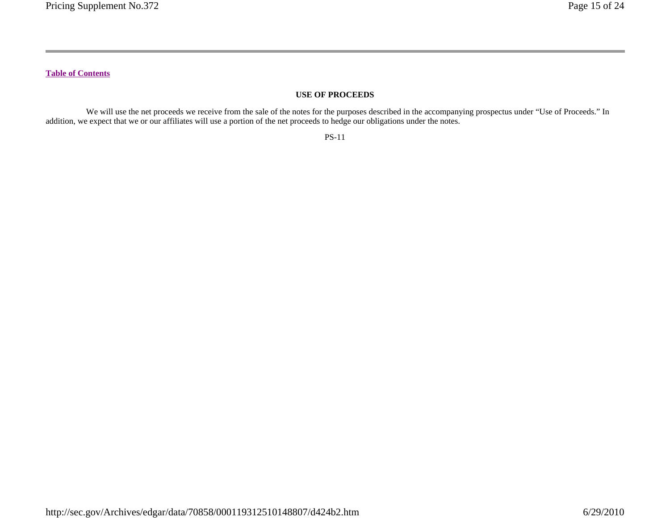## **USE OF PROCEEDS**

We will use the net proceeds we receive from the sale of the notes for the purposes described in the accompanying prospectus under "Use of Proceeds." In addition, we expect that we or our affiliates will use a portion of the net proceeds to hedge our obligations under the notes.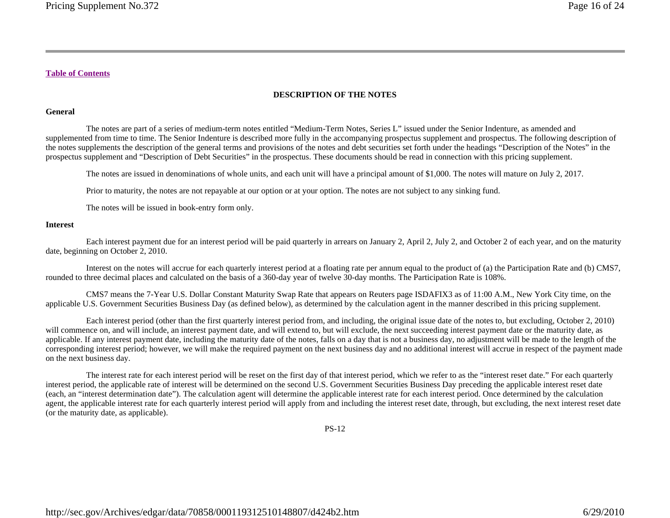### **DESCRIPTION OF THE NOTES**

#### **General**

The notes are part of a series of medium-term notes entitled "Medium-Term Notes, Series L" issued under the Senior Indenture, as amended and supplemented from time to time. The Senior Indenture is described more fully in the accompanying prospectus supplement and prospectus. The following description of the notes supplements the description of the general terms and provisions of the notes and debt securities set forth under the headings "Description of the Notes" in the prospectus supplement and "Description of Debt Securities" in the prospectus. These documents should be read in connection with this pricing supplement.

The notes are issued in denominations of whole units, and each unit will have a principal amount of \$1,000. The notes will mature on July 2, 2017.

Prior to maturity, the notes are not repayable at our option or at your option. The notes are not subject to any sinking fund.

The notes will be issued in book-entry form only.

#### **Interest**

Each interest payment due for an interest period will be paid quarterly in arrears on January 2, April 2, July 2, and October 2 of each year, and on the maturity date, beginning on October 2, 2010.

Interest on the notes will accrue for each quarterly interest period at a floating rate per annum equal to the product of (a) the Participation Rate and (b) CMS7, rounded to three decimal places and calculated on the basis of a 360-day year of twelve 30-day months. The Participation Rate is 108%.

CMS7 means the 7-Year U.S. Dollar Constant Maturity Swap Rate that appears on Reuters page ISDAFIX3 as of 11:00 A.M., New York City time, on the applicable U.S. Government Securities Business Day (as defined below), as determined by the calculation agent in the manner described in this pricing supplement.

Each interest period (other than the first quarterly interest period from, and including, the original issue date of the notes to, but excluding, October 2, 2010) will commence on, and will include, an interest payment date, and will extend to, but will exclude, the next succeeding interest payment date or the maturity date, as applicable. If any interest payment date, including the maturity date of the notes, falls on a day that is not a business day, no adjustment will be made to the length of the corresponding interest period; however, we will make the required payment on the next business day and no additional interest will accrue in respect of the payment made on the next business day.

The interest rate for each interest period will be reset on the first day of that interest period, which we refer to as the "interest reset date." For each quarterly interest period, the applicable rate of interest will be determined on the second U.S. Government Securities Business Day preceding the applicable interest reset date (each, an "interest determination date"). The calculation agent will determine the applicable interest rate for each interest period. Once determined by the calculation agent, the applicable interest rate for each quarterly interest period will apply from and including the interest reset date, through, but excluding, the next interest reset date (or the maturity date, as applicable).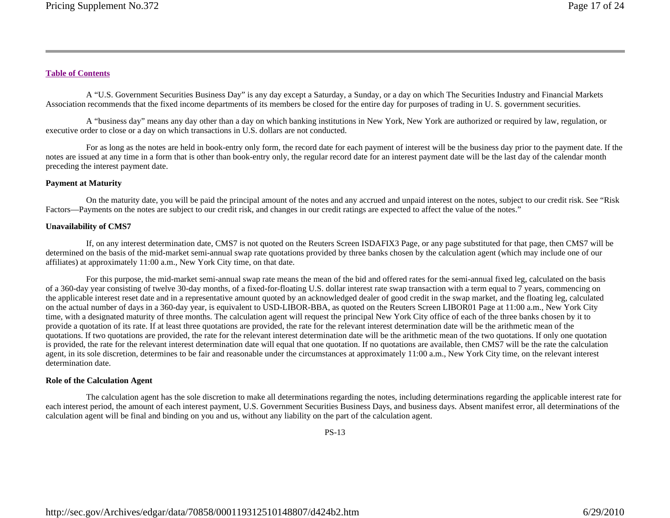A "U.S. Government Securities Business Day" is any day except a Saturday, a Sunday, or a day on which The Securities Industry and Financial Markets Association recommends that the fixed income departments of its members be closed for the entire day for purposes of trading in U. S. government securities.

A "business day" means any day other than a day on which banking institutions in New York, New York are authorized or required by law, regulation, or executive order to close or a day on which transactions in U.S. dollars are not conducted.

For as long as the notes are held in book-entry only form, the record date for each payment of interest will be the business day prior to the payment date. If the notes are issued at any time in a form that is other than book-entry only, the regular record date for an interest payment date will be the last day of the calendar month preceding the interest payment date.

#### **Payment at Maturity**

On the maturity date, you will be paid the principal amount of the notes and any accrued and unpaid interest on the notes, subject to our credit risk. See "Risk Factors—Payments on the notes are subject to our credit risk, and changes in our credit ratings are expected to affect the value of the notes."

#### **Unavailability of CMS7**

If, on any interest determination date, CMS7 is not quoted on the Reuters Screen ISDAFIX3 Page, or any page substituted for that page, then CMS7 will be determined on the basis of the mid-market semi-annual swap rate quotations provided by three banks chosen by the calculation agent (which may include one of our affiliates) at approximately 11:00 a.m., New York City time, on that date.

For this purpose, the mid-market semi-annual swap rate means the mean of the bid and offered rates for the semi-annual fixed leg, calculated on the basis of a 360-day year consisting of twelve 30-day months, of a fixed-for-floating U.S. dollar interest rate swap transaction with a term equal to 7 years, commencing on the applicable interest reset date and in a representative amount quoted by an acknowledged dealer of good credit in the swap market, and the floating leg, calculated on the actual number of days in a 360-day year, is equivalent to USD-LIBOR-BBA, as quoted on the Reuters Screen LIBOR01 Page at 11:00 a.m., New York City time, with a designated maturity of three months. The calculation agent will request the principal New York City office of each of the three banks chosen by it to provide a quotation of its rate. If at least three quotations are provided, the rate for the relevant interest determination date will be the arithmetic mean of the quotations. If two quotations are provided, the rate for the relevant interest determination date will be the arithmetic mean of the two quotations. If only one quotation is provided, the rate for the relevant interest determination date will equal that one quotation. If no quotations are available, then CMS7 will be the rate the calculation agent, in its sole discretion, determines to be fair and reasonable under the circumstances at approximately 11:00 a.m., New York City time, on the relevant interest determination date.

### **Role of the Calculation Agent**

The calculation agent has the sole discretion to make all determinations regarding the notes, including determinations regarding the applicable interest rate for each interest period, the amount of each interest payment, U.S. Government Securities Business Days, and business days. Absent manifest error, all determinations of the calculation agent will be final and binding on you and us, without any liability on the part of the calculation agent.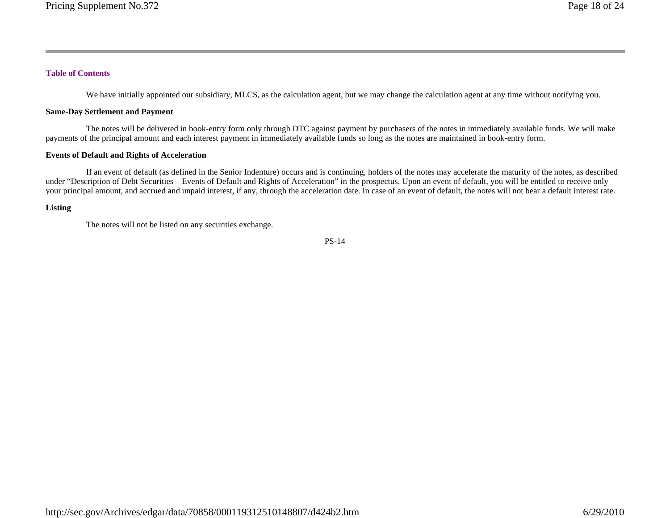We have initially appointed our subsidiary, MLCS, as the calculation agent, but we may change the calculation agent at any time without notifying you.

#### **Same-Day Settlement and Payment**

The notes will be delivered in book-entry form only through DTC against payment by purchasers of the notes in immediately available funds. We will make payments of the principal amount and each interest payment in immediately available funds so long as the notes are maintained in book-entry form.

### **Events of Default and Rights of Acceleration**

If an event of default (as defined in the Senior Indenture) occurs and is continuing, holders of the notes may accelerate the maturity of the notes, as described under "Description of Debt Securities—Events of Default and Rights of Acceleration" in the prospectus. Upon an event of default, you will be entitled to receive only your principal amount, and accrued and unpaid interest, if any, through the acceleration date. In case of an event of default, the notes will not bear a default interest rate.

### **Listing**

The notes will not be listed on any securities exchange.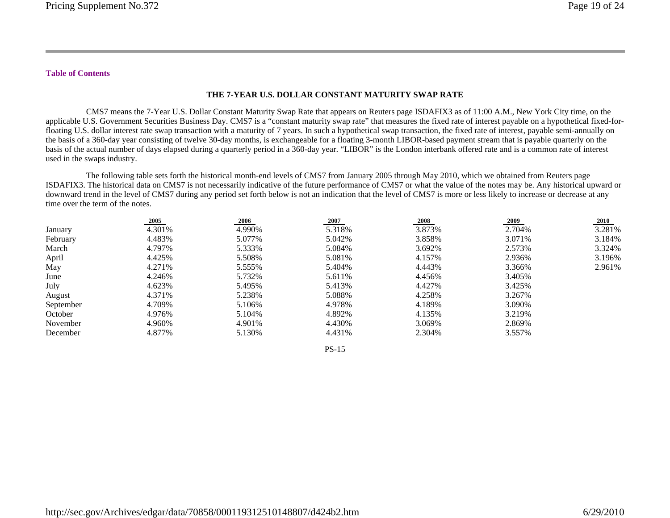#### **THE 7-YEAR U.S. DOLLAR CONSTANT MATURITY SWAP RATE**

CMS7 means the 7-Year U.S. Dollar Constant Maturity Swap Rate that appears on Reuters page ISDAFIX3 as of 11:00 A.M., New York City time, on the applicable U.S. Government Securities Business Day. CMS7 is a "constant maturity swap rate" that measures the fixed rate of interest payable on a hypothetical fixed-forfloating U.S. dollar interest rate swap transaction with a maturity of 7 years. In such a hypothetical swap transaction, the fixed rate of interest, payable semi-annually on the basis of a 360-day year consisting of twelve 30-day months, is exchangeable for a floating 3-month LIBOR-based payment stream that is payable quarterly on the basis of the actual number of days elapsed during a quarterly period in a 360-day year. "LIBOR" is the London interbank offered rate and is a common rate of interest used in the swaps industry.

The following table sets forth the historical month-end levels of CMS7 from January 2005 through May 2010, which we obtained from Reuters page ISDAFIX3. The historical data on CMS7 is not necessarily indicative of the future performance of CMS7 or what the value of the notes may be. Any historical upward or downward trend in the level of CMS7 during any period set forth below is not an indication that the level of CMS7 is more or less likely to increase or decrease at any time over the term of the notes.

|           | 2005   | 2006   | 2007   | 2008   | 2009   | 2010   |
|-----------|--------|--------|--------|--------|--------|--------|
| January   | 4.301% | 4.990% | 5.318% | 3.873% | 2.704% | 3.281% |
| February  | 4.483% | 5.077% | 5.042% | 3.858% | 3.071% | 3.184% |
| March     | 4.797% | 5.333% | 5.084% | 3.692% | 2.573% | 3.324% |
| April     | 4.425% | 5.508% | 5.081% | 4.157% | 2.936% | 3.196% |
| May       | 4.271% | 5.555% | 5.404% | 4.443% | 3.366% | 2.961% |
| June      | 4.246% | 5.732% | 5.611% | 4.456% | 3.405% |        |
| July      | 4.623% | 5.495% | 5.413% | 4.427% | 3.425% |        |
| August    | 4.371% | 5.238% | 5.088% | 4.258% | 3.267% |        |
| September | 4.709% | 5.106% | 4.978% | 4.189% | 3.090% |        |
| October   | 4.976% | 5.104% | 4.892% | 4.135% | 3.219% |        |
| November  | 4.960% | 4.901% | 4.430% | 3.069% | 2.869% |        |
| December  | 4.877% | 5.130% | 4.431% | 2.304% | 3.557% |        |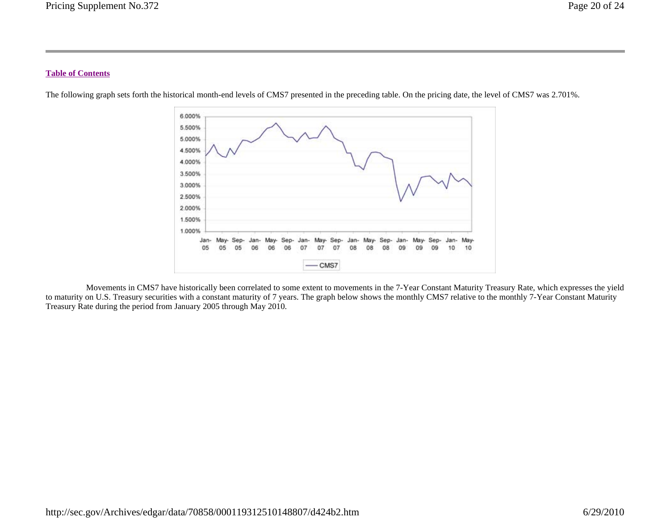

The following graph sets forth the historical month-end levels of CMS7 presented in the preceding table. On the pricing date, the level of CMS7 was 2.701%.

Movements in CMS7 have historically been correlated to some extent to movements in the 7-Year Constant Maturity Treasury Rate, which expresses the yield to maturity on U.S. Treasury securities with a constant maturity of 7 years. The graph below shows the monthly CMS7 relative to the monthly 7-Year Constant Maturity Treasury Rate during the period from January 2005 through May 2010.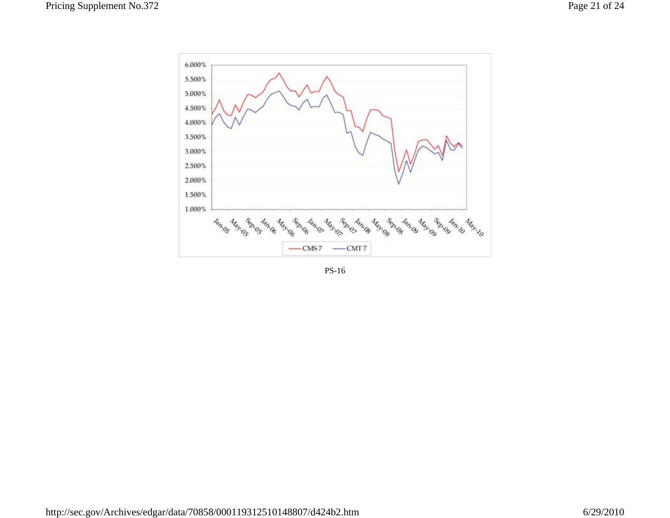

PS-16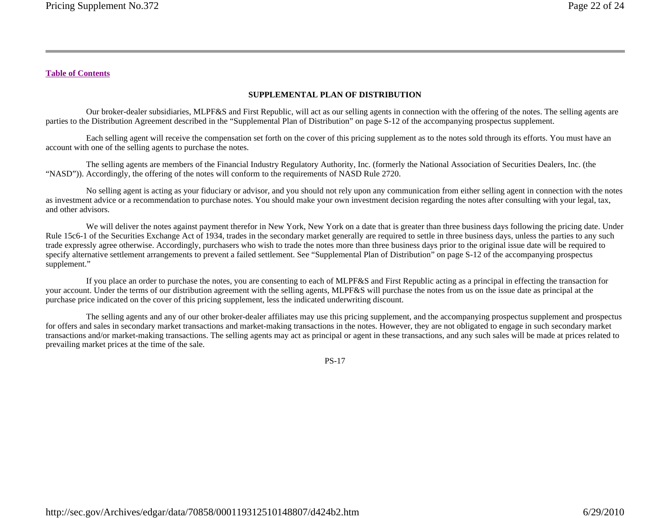### **SUPPLEMENTAL PLAN OF DISTRIBUTION**

Our broker-dealer subsidiaries, MLPF&S and First Republic, will act as our selling agents in connection with the offering of the notes. The selling agents are parties to the Distribution Agreement described in the "Supplemental Plan of Distribution" on page S-12 of the accompanying prospectus supplement.

Each selling agent will receive the compensation set forth on the cover of this pricing supplement as to the notes sold through its efforts. You must have an account with one of the selling agents to purchase the notes.

The selling agents are members of the Financial Industry Regulatory Authority, Inc. (formerly the National Association of Securities Dealers, Inc. (the "NASD")). Accordingly, the offering of the notes will conform to the requirements of NASD Rule 2720.

No selling agent is acting as your fiduciary or advisor, and you should not rely upon any communication from either selling agent in connection with the notes as investment advice or a recommendation to purchase notes. You should make your own investment decision regarding the notes after consulting with your legal, tax, and other advisors.

We will deliver the notes against payment therefor in New York, New York on a date that is greater than three business days following the pricing date. Under Rule 15c6-1 of the Securities Exchange Act of 1934, trades in the secondary market generally are required to settle in three business days, unless the parties to any such trade expressly agree otherwise. Accordingly, purchasers who wish to trade the notes more than three business days prior to the original issue date will be required to specify alternative settlement arrangements to prevent a failed settlement. See "Supplemental Plan of Distribution" on page S-12 of the accompanying prospectus supplement."

If you place an order to purchase the notes, you are consenting to each of MLPF&S and First Republic acting as a principal in effecting the transaction for your account. Under the terms of our distribution agreement with the selling agents, MLPF&S will purchase the notes from us on the issue date as principal at the purchase price indicated on the cover of this pricing supplement, less the indicated underwriting discount.

The selling agents and any of our other broker-dealer affiliates may use this pricing supplement, and the accompanying prospectus supplement and prospectus for offers and sales in secondary market transactions and market-making transactions in the notes. However, they are not obligated to engage in such secondary market transactions and/or market-making transactions. The selling agents may act as principal or agent in these transactions, and any such sales will be made at prices related to prevailing market prices at the time of the sale.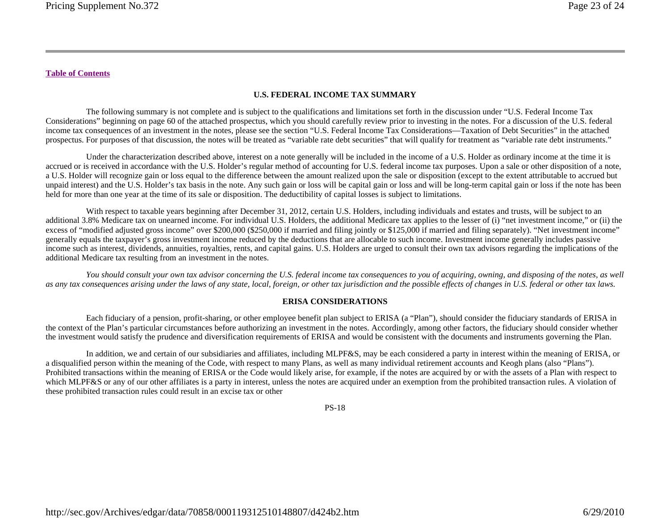### **U.S. FEDERAL INCOME TAX SUMMARY**

The following summary is not complete and is subject to the qualifications and limitations set forth in the discussion under "U.S. Federal Income Tax Considerations" beginning on page 60 of the attached prospectus, which you should carefully review prior to investing in the notes. For a discussion of the U.S. federal income tax consequences of an investment in the notes, please see the section "U.S. Federal Income Tax Considerations—Taxation of Debt Securities" in the attached prospectus. For purposes of that discussion, the notes will be treated as "variable rate debt securities" that will qualify for treatment as "variable rate debt instruments."

Under the characterization described above, interest on a note generally will be included in the income of a U.S. Holder as ordinary income at the time it is accrued or is received in accordance with the U.S. Holder's regular method of accounting for U.S. federal income tax purposes. Upon a sale or other disposition of a note, a U.S. Holder will recognize gain or loss equal to the difference between the amount realized upon the sale or disposition (except to the extent attributable to accrued but unpaid interest) and the U.S. Holder's tax basis in the note. Any such gain or loss will be capital gain or loss and will be long-term capital gain or loss if the note has been held for more than one year at the time of its sale or disposition. The deductibility of capital losses is subject to limitations.

With respect to taxable years beginning after December 31, 2012, certain U.S. Holders, including individuals and estates and trusts, will be subject to an additional 3.8% Medicare tax on unearned income. For individual U.S. Holders, the additional Medicare tax applies to the lesser of (i) "net investment income," or (ii) the excess of "modified adjusted gross income" over \$200,000 (\$250,000 if married and filing jointly or \$125,000 if married and filing separately). "Net investment income" generally equals the taxpayer's gross investment income reduced by the deductions that are allocable to such income. Investment income generally includes passive income such as interest, dividends, annuities, royalties, rents, and capital gains. U.S. Holders are urged to consult their own tax advisors regarding the implications of the additional Medicare tax resulting from an investment in the notes.

*You should consult your own tax advisor concerning the U.S. federal income tax consequences to you of acquiring, owning, and disposing of the notes, as well as any tax consequences arising under the laws of any state, local, foreign, or other tax jurisdiction and the possible effects of changes in U.S. federal or other tax laws.* 

### **ERISA CONSIDERATIONS**

Each fiduciary of a pension, profit-sharing, or other employee benefit plan subject to ERISA (a "Plan"), should consider the fiduciary standards of ERISA in the context of the Plan's particular circumstances before authorizing an investment in the notes. Accordingly, among other factors, the fiduciary should consider whether the investment would satisfy the prudence and diversification requirements of ERISA and would be consistent with the documents and instruments governing the Plan.

In addition, we and certain of our subsidiaries and affiliates, including MLPF&S, may be each considered a party in interest within the meaning of ERISA, or a disqualified person within the meaning of the Code, with respect to many Plans, as well as many individual retirement accounts and Keogh plans (also "Plans"). Prohibited transactions within the meaning of ERISA or the Code would likely arise, for example, if the notes are acquired by or with the assets of a Plan with respect to which MLPF&S or any of our other affiliates is a party in interest, unless the notes are acquired under an exemption from the prohibited transaction rules. A violation of these prohibited transaction rules could result in an excise tax or other

PS-18

http://sec.gov/Archives/edgar/data/70858/000119312510148807/d424b2.htm 6/29/2010